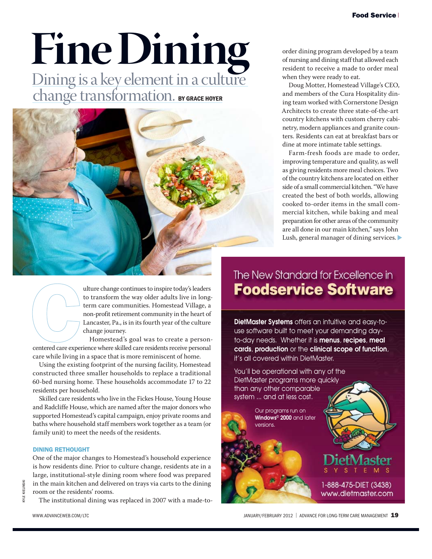#### Food Service

# **Fine Dining**

Dining is a key element in a culture **change transformation. BY GRACE HOYER** 



order dining program developed by a team of nursing and dining staff that allowed each resident to receive a made to order meal when they were ready to eat.

Doug Motter, Homestead Village's CEO, and members of the Cura Hospitality dining team worked with Cornerstone Design Architects to create three state-of-the-art country kitchens with custom cherry cabinetry, modern appliances and granite counters. Residents can eat at breakfast bars or dine at more intimate table settings.

Farm-fresh foods are made to order, improving temperature and quality, as well as giving residents more meal choices. Two of the country kitchens are located on either side of a small commercial kitchen. "We have created the best of both worlds, allowing cooked to-order items in the small commercial kitchen, while baking and meal preparation for other areas of the community are all done in our main kitchen," says John Lush, general manager of dining services.

ulture change continues to inspire today's leaders to transform the way older adults live in longterm care communities. Homestead Village, a non-profit retirement community in the heart of Lancaster, Pa., is in its fourth year of the culture change journey.

Homestead's goal was to create a personcentered care experience where skilled care residents receive personal care while living in a space that is more reminiscent of home.

Using the existing footprint of the nursing facility, Homestead constructed three smaller households to replace a traditional 60-bed nursing home. These households accommodate 17 to 22 residents per household.

Skilled care residents who live in the Fickes House, Young House and Radcliffe House, which are named after the major donors who supported Homestead's capital campaign, enjoy private rooms and baths where household staff members work together as a team (or family unit) to meet the needs of the residents.

#### DINING RETHOUGHT

One of the major changes to Homestead's household experience is how residents dine. Prior to culture change, residents ate in a large, institutional-style dining room where food was prepared in the main kitchen and delivered on trays via carts to the dining room or the residents' rooms.

The institutional dining was replaced in 2007 with a made-to-

### The New Standard for Excellence in **Foodservice Software**

**DietMaster Systems** offers an intuitive and easy-touse software built to meet your demanding dayto-day needs. Whether it is **menus**, **recipes**, **meal cards**, **production** or the **clinical scope of function**, it's all covered within DietMaster.



KYLE KIELINSKI

**CYLE KIELINSKI** 

WWW.ADVANCEWEB.COM/LTC **19** anul are the computation of the state of the state of the state of the state of the state of the state of the state of the state of the state of the state of the state of the state of the state